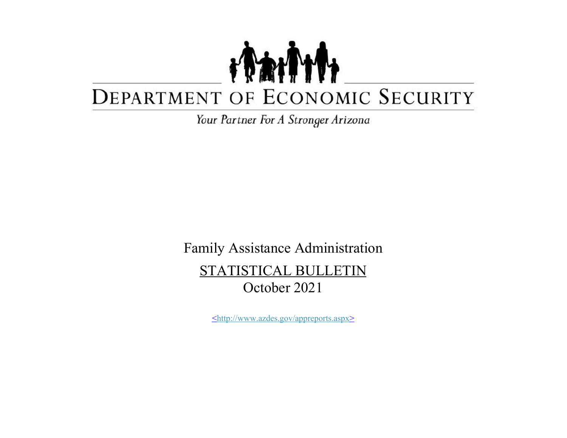## TANT DEPARTMENT OF ECONOMIC SECURITY

Your Partner For A Stronger Arizona

Family Assistance Administration STATISTICAL BULLETIN October 2021

<http://www.azdes.gov/appreports.aspx>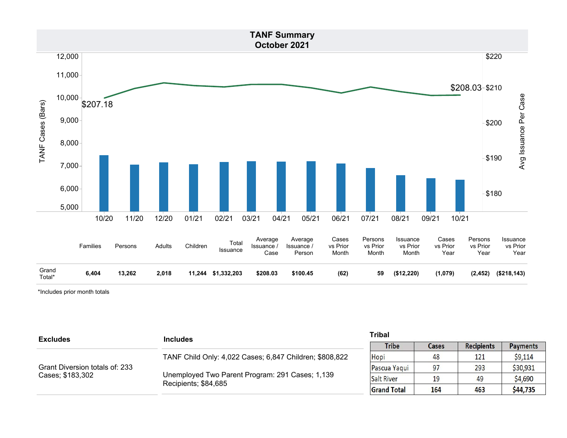

\*Includes prior month totals

| <b>Excludes</b>                                    | <b>Includes</b>                                                         | <b>Tribal</b>      |       |                   |                 |
|----------------------------------------------------|-------------------------------------------------------------------------|--------------------|-------|-------------------|-----------------|
|                                                    |                                                                         | <b>Tribe</b>       | Cases | <b>Recipients</b> | <b>Payments</b> |
| Grant Diversion totals of: 233<br>Cases; \$183,302 | TANF Child Only: 4,022 Cases; 6,847 Children; \$808,822                 | Hopi               | 48    | 121               | \$9,114         |
|                                                    | Unemployed Two Parent Program: 291 Cases; 1,139<br>Recipients; \$84,685 | Pascua Yaqui       | 97    | 293               | \$30,931        |
|                                                    |                                                                         | <b>Salt River</b>  | 19    | 49                | \$4,690         |
|                                                    |                                                                         | <b>Grand Total</b> | 164   | 463               | \$44,735        |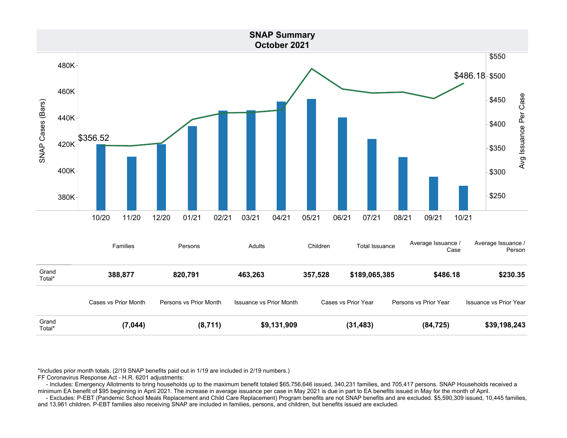

\*Includes prior month totals. (2/19 SNAP benefits paid out in 1/19 are included in 2/19 numbers.)

FF Coronavirus Response Act - H.R. 6201 adjustments:

 - Includes: Emergency Allotments to bring households up to the maximum benefit totaled \$65,756,646 issued, 340,231 families, and 705,417 persons. SNAP Households received a minimum EA benefit of \$95 beginning in April 2021. The increase in average issuance per case in May 2021 is due in part to EA benefits issued in May for the month of April.

 - Excludes: P-EBT (Pandemic School Meals Replacement and Child Care Replacement) Program benefits are not SNAP benefits and are excluded. \$5,590,309 issued, 10,445 families, and 13,961 children. P-EBT families also receiving SNAP are included in families, persons, and children, but benefits issued are excluded.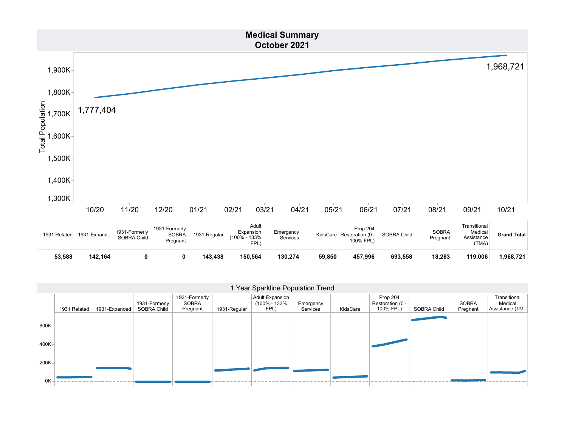

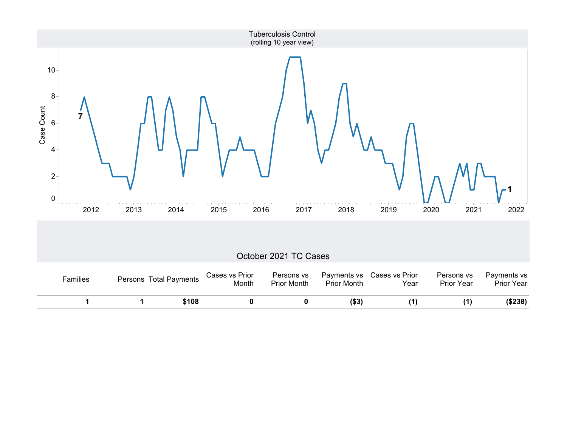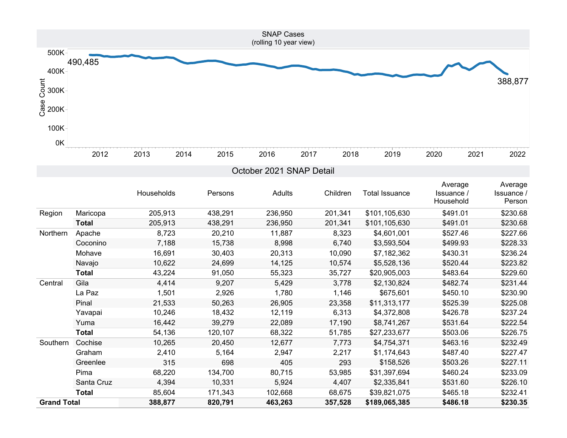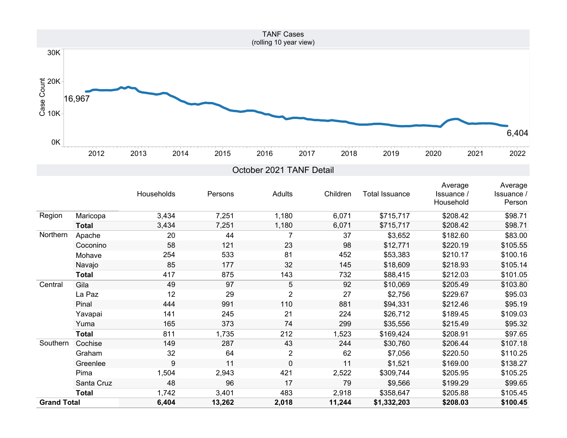

|                    |              | Households | Persons | Adults         | Children | <b>Total Issuance</b> | Average<br>Issuance /<br>Household | Average<br>Issuance /<br>Person |
|--------------------|--------------|------------|---------|----------------|----------|-----------------------|------------------------------------|---------------------------------|
| Region             | Maricopa     | 3,434      | 7,251   | 1,180          | 6,071    | \$715,717             | \$208.42                           | \$98.71                         |
|                    | Total        | 3,434      | 7,251   | 1,180          | 6,071    | \$715,717             | \$208.42                           | \$98.71                         |
| Northern           | Apache       | 20         | 44      |                | 37       | \$3,652               | \$182.60                           | \$83.00                         |
|                    | Coconino     | 58         | 121     | 23             | 98       | \$12,771              | \$220.19                           | \$105.55                        |
|                    | Mohave       | 254        | 533     | 81             | 452      | \$53,383              | \$210.17                           | \$100.16                        |
|                    | Navajo       | 85         | 177     | 32             | 145      | \$18,609              | \$218.93                           | \$105.14                        |
|                    | <b>Total</b> | 417        | 875     | 143            | 732      | \$88,415              | \$212.03                           | \$101.05                        |
| Central            | Gila         | 49         | 97      | 5              | 92       | \$10,069              | \$205.49                           | \$103.80                        |
|                    | La Paz       | 12         | 29      | $\overline{2}$ | 27       | \$2,756               | \$229.67                           | \$95.03                         |
|                    | Pinal        | 444        | 991     | 110            | 881      | \$94,331              | \$212.46                           | \$95.19                         |
|                    | Yavapai      | 141        | 245     | 21             | 224      | \$26,712              | \$189.45                           | \$109.03                        |
|                    | Yuma         | 165        | 373     | 74             | 299      | \$35,556              | \$215.49                           | \$95.32                         |
|                    | <b>Total</b> | 811        | 1,735   | 212            | 1,523    | \$169,424             | \$208.91                           | \$97.65                         |
| Southern           | Cochise      | 149        | 287     | 43             | 244      | \$30,760              | \$206.44                           | \$107.18                        |
|                    | Graham       | 32         | 64      | $\overline{2}$ | 62       | \$7,056               | \$220.50                           | \$110.25                        |
|                    | Greenlee     | 9          | 11      | $\Omega$       | 11       | \$1,521               | \$169.00                           | \$138.27                        |
|                    | Pima         | 1,504      | 2,943   | 421            | 2,522    | \$309,744             | \$205.95                           | \$105.25                        |
|                    | Santa Cruz   | 48         | 96      | 17             | 79       | \$9,566               | \$199.29                           | \$99.65                         |
|                    | <b>Total</b> | 1,742      | 3,401   | 483            | 2,918    | \$358,647             | \$205.88                           | \$105.45                        |
| <b>Grand Total</b> |              | 6,404      | 13,262  | 2,018          | 11,244   | \$1,332,203           | \$208.03                           | \$100.45                        |